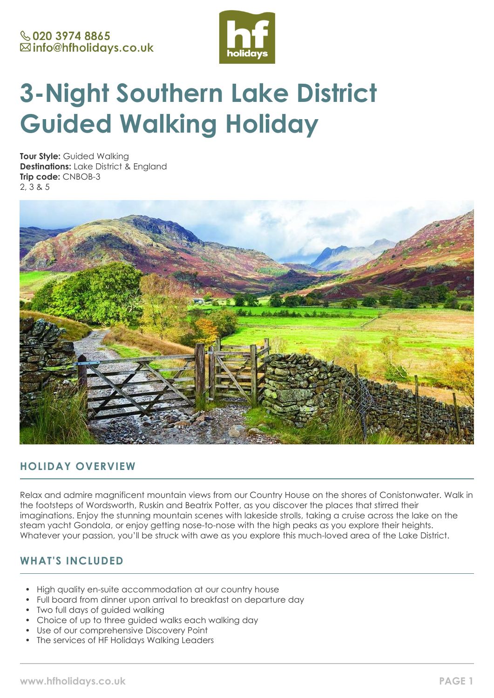

# **3-Night Southern Lake District Guided Walking Holiday**

**Tour Style:** Guided Walking **Destinations:** Lake District & England **Trip code:** CNBOB-3 2, 3 & 5



# **HOLIDAY OVERVIEW**

Relax and admire magnificent mountain views from our Country House on the shores of Conistonwater. Walk in the footsteps of Wordsworth, Ruskin and Beatrix Potter, as you discover the places that stirred their imaginations. Enjoy the stunning mountain scenes with lakeside strolls, taking a cruise across the lake on the steam yacht Gondola, or enjoy getting nose-to-nose with the high peaks as you explore their heights. Whatever your passion, you'll be struck with awe as you explore this much-loved area of the Lake District.

# **WHAT'S INCLUDED**

- High quality en-suite accommodation at our country house
- Full board from dinner upon arrival to breakfast on departure day
- Two full days of guided walking
- Choice of up to three guided walks each walking day
- Use of our comprehensive Discovery Point
- The services of HF Holidays Walking Leaders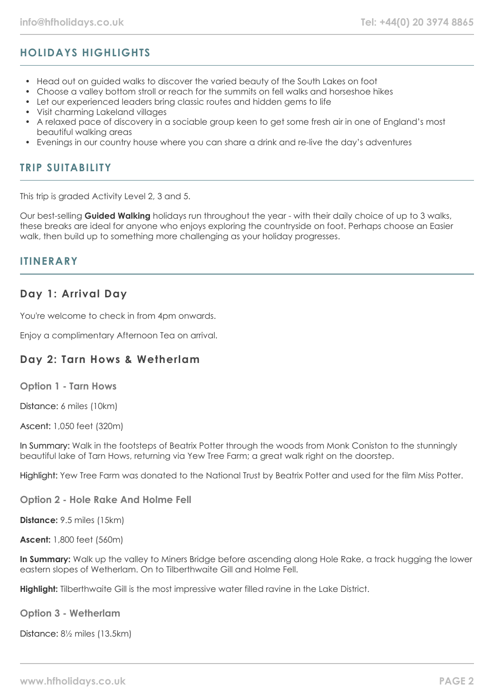# **HOLIDAYS HIGHLIGHTS**

- Head out on guided walks to discover the varied beauty of the South Lakes on foot
- Choose a valley bottom stroll or reach for the summits on fell walks and horseshoe hikes
- Let our experienced leaders bring classic routes and hidden gems to life
- Visit charming Lakeland villages
- A relaxed pace of discovery in a sociable group keen to get some fresh air in one of England's most beautiful walking areas
- Evenings in our country house where you can share a drink and re-live the day's adventures

## **TRIP SUITABILITY**

This trip is graded Activity Level 2, 3 and 5.

Our best-selling **Guided Walking** holidays run throughout the year - with their daily choice of up to 3 walks, these breaks are ideal for anyone who enjoys exploring the countryside on foot. Perhaps choose an Easier walk, then build up to something more challenging as your holiday progresses.

## **ITINERARY**

# **Day 1: Arrival Day**

You're welcome to check in from 4pm onwards.

Enjoy a complimentary Afternoon Tea on arrival.

## **Day 2: Tarn Hows & Wetherlam**

**Option 1 - Tarn Hows**

Distance: 6 miles (10km)

Ascent: 1,050 feet (320m)

In Summary: Walk in the footsteps of Beatrix Potter through the woods from Monk Coniston to the stunningly beautiful lake of Tarn Hows, returning via Yew Tree Farm; a great walk right on the doorstep.

Highlight: Yew Tree Farm was donated to the National Trust by Beatrix Potter and used for the film Miss Potter.

**Option 2 - Hole Rake And Holme Fell**

**Distance:** 9.5 miles (15km)

**Ascent:** 1,800 feet (560m)

**In Summary:** Walk up the valley to Miners Bridge before ascending along Hole Rake, a track hugging the lower eastern slopes of Wetherlam. On to Tilberthwaite Gill and Holme Fell.

**Highlight:** Tilberthwaite Gill is the most impressive water filled ravine in the Lake District.

**Option 3 - Wetherlam**

Distance: 8½ miles (13.5km)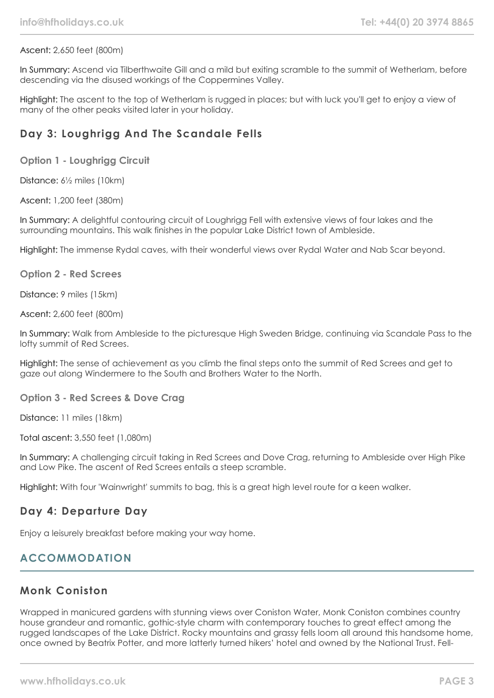#### Ascent: 2,650 feet (800m)

In Summary: Ascend via Tilberthwaite Gill and a mild but exiting scramble to the summit of Wetherlam, before descending via the disused workings of the Coppermines Valley.

Highlight: The ascent to the top of Wetherlam is rugged in places; but with luck you'll get to enjoy a view of many of the other peaks visited later in your holiday.

# **Day 3: Loughrigg And The Scandale Fells**

**Option 1 - Loughrigg Circuit**

Distance: 6½ miles (10km)

Ascent: 1,200 feet (380m)

In Summary: A delightful contouring circuit of Loughrigg Fell with extensive views of four lakes and the surrounding mountains. This walk finishes in the popular Lake District town of Ambleside.

Highlight: The immense Rydal caves, with their wonderful views over Rydal Water and Nab Scar beyond.

**Option 2 - Red Screes**

Distance: 9 miles (15km)

Ascent: 2,600 feet (800m)

In Summary: Walk from Ambleside to the picturesque High Sweden Bridge, continuing via Scandale Pass to the lofty summit of Red Screes.

Highlight: The sense of achievement as you climb the final steps onto the summit of Red Screes and get to gaze out along Windermere to the South and Brothers Water to the North.

**Option 3 - Red Screes & Dove Crag**

Distance: 11 miles (18km)

Total ascent: 3,550 feet (1,080m)

In Summary: A challenging circuit taking in Red Screes and Dove Crag, returning to Ambleside over High Pike and Low Pike. The ascent of Red Screes entails a steep scramble.

Highlight: With four 'Wainwright' summits to bag, this is a great high level route for a keen walker.

## **Day 4: Departure Day**

Enjoy a leisurely breakfast before making your way home.

# **ACCOMMODATION**

## **Monk Coniston**

Wrapped in manicured gardens with stunning views over Coniston Water, Monk Coniston combines country house grandeur and romantic, gothic-style charm with contemporary touches to great effect among the rugged landscapes of the Lake District. Rocky mountains and grassy fells loom all around this handsome home, once owned by Beatrix Potter, and more latterly turned hikers' hotel and owned by the National Trust. Fell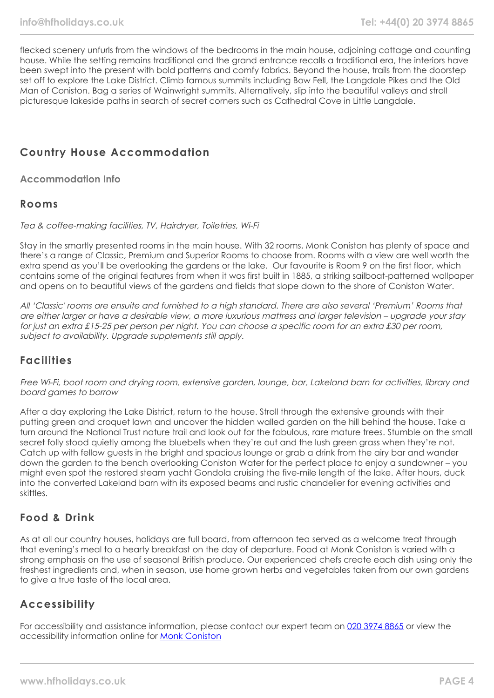flecked scenery unfurls from the windows of the bedrooms in the main house, adjoining cottage and counting house. While the setting remains traditional and the grand entrance recalls a traditional era, the interiors have been swept into the present with bold patterns and comfy fabrics. Beyond the house, trails from the doorstep set off to explore the Lake District. Climb famous summits including Bow Fell, the Langdale Pikes and the Old Man of Coniston. Bag a series of Wainwright summits. Alternatively, slip into the beautiful valleys and stroll picturesque lakeside paths in search of secret corners such as Cathedral Cove in Little Langdale.

# **Country House Accommodation**

**Accommodation Info**

#### **Rooms**

Tea & coffee-making facilities, TV, Hairdryer, Toiletries, Wi-Fi

Stay in the smartly presented rooms in the main house. With 32 rooms, Monk Coniston has plenty of space and there's a range of Classic, Premium and Superior Rooms to choose from. Rooms with a view are well worth the extra spend as you'll be overlooking the gardens or the lake. Our favourite is Room 9 on the first floor, which contains some of the original features from when it was first built in 1885, a striking sailboat-patterned wallpaper and opens on to beautiful views of the gardens and fields that slope down to the shore of Coniston Water.

All 'Classic' rooms are ensuite and furnished to a high standard. There are also several 'Premium' Rooms that are either larger or have a desirable view, a more luxurious mattress and larger television – upgrade your stay for just an extra £15-25 per person per night. You can choose a specific room for an extra £30 per room, subject to availability. Upgrade supplements still apply.

## **Facilities**

Free Wi-Fi, boot room and drying room, extensive garden, lounge, bar, Lakeland barn for activities, library and board games to borrow

After a day exploring the Lake District, return to the house. Stroll through the extensive grounds with their putting green and croquet lawn and uncover the hidden walled garden on the hill behind the house. Take a turn around the National Trust nature trail and look out for the fabulous, rare mature trees. Stumble on the small secret folly stood quietly among the bluebells when they're out and the lush green grass when they're not. Catch up with fellow guests in the bright and spacious lounge or grab a drink from the airy bar and wander down the garden to the bench overlooking Coniston Water for the perfect place to enjoy a sundowner – you might even spot the restored steam yacht Gondola cruising the five-mile length of the lake. After hours, duck into the converted Lakeland barn with its exposed beams and rustic chandelier for evening activities and skittles.

## **Food & Drink**

As at all our country houses, holidays are full board, from afternoon tea served as a welcome treat through that evening's meal to a hearty breakfast on the day of departure. Food at Monk Coniston is varied with a strong emphasis on the use of seasonal British produce. Our experienced chefs create each dish using only the freshest ingredients and, when in season, use home grown herbs and vegetables taken from our own gardens to give a true taste of the local area.

## **Accessibility**

For accessibility and assistance information, please contact our expert team on [020 3974 8865](tel:02039748865) or view the accessibility information online for [Monk Coniston](https://www.hfholidays.co.uk/images/Documents/accessibility_statements/monk-coniston---accessibility-information---update-mar-2021.pdf)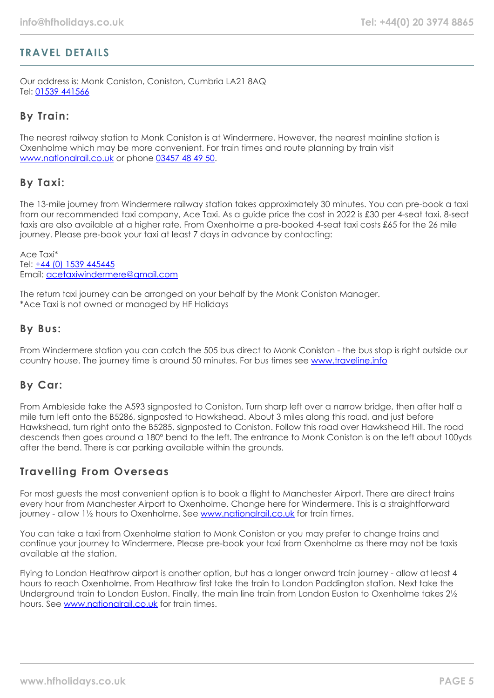# **TRAVEL DETAILS**

Our address is: Monk Coniston, Coniston, Cumbria LA21 8AQ Tel: [01539 441566](tel:01539441566)

## **By Train:**

The nearest railway station to Monk Coniston is at Windermere. However, the nearest mainline station is Oxenholme which may be more convenient. For train times and route planning by train visit [www.nationalrail.co.uk](https://www.nationalrail.co.uk/) or phone [03457 48 49 50.](tel:03457484950)

## **By Taxi:**

The 13-mile journey from Windermere railway station takes approximately 30 minutes. You can pre-book a taxi from our recommended taxi company, Ace Taxi. As a guide price the cost in 2022 is £30 per 4-seat taxi. 8-seat taxis are also available at a higher rate. From Oxenholme a pre-booked 4-seat taxi costs £65 for the 26 mile journey. Please pre-book your taxi at least 7 days in advance by contacting:

Ace Taxi\* Tel: [+44 \(0\) 1539 445445](tel:01539445445) Email: [acetaxiwindermere@gmail.com](mailto:acetaxiwindermere@gmail.com)

The return taxi journey can be arranged on your behalf by the Monk Coniston Manager. \*Ace Taxi is not owned or managed by HF Holidays

#### **By Bus:**

From Windermere station you can catch the 505 bus direct to Monk Coniston - the bus stop is right outside our country house. The journey time is around 50 minutes. For bus times see [www.traveline.info](https://www.traveline.info/)

## **By Car:**

From Ambleside take the A593 signposted to Coniston. Turn sharp left over a narrow bridge, then after half a mile turn left onto the B5286, signposted to Hawkshead. About 3 miles along this road, and just before Hawkshead, turn right onto the B5285, signposted to Coniston. Follow this road over Hawkshead Hill. The road descends then goes around a 180° bend to the left. The entrance to Monk Coniston is on the left about 100yds after the bend. There is car parking available within the grounds.

## **Travelling From Overseas**

For most guests the most convenient option is to book a flight to Manchester Airport. There are direct trains every hour from Manchester Airport to Oxenholme. Change here for Windermere. This is a straightforward journey - allow 1½ hours to Oxenholme. See [www.nationalrail.co.uk](https://www.nationalrail.co.uk/) for train times.

You can take a taxi from Oxenholme station to Monk Coniston or you may prefer to change trains and continue your journey to Windermere. Please pre-book your taxi from Oxenholme as there may not be taxis available at the station.

Flying to London Heathrow airport is another option, but has a longer onward train journey - allow at least 4 hours to reach Oxenholme. From Heathrow first take the train to London Paddington station. Next take the Underground train to London Euston. Finally, the main line train from London Euston to Oxenholme takes 2½ hours. See [www.nationalrail.co.uk](https://www.nationalrail.co.uk/) for train times.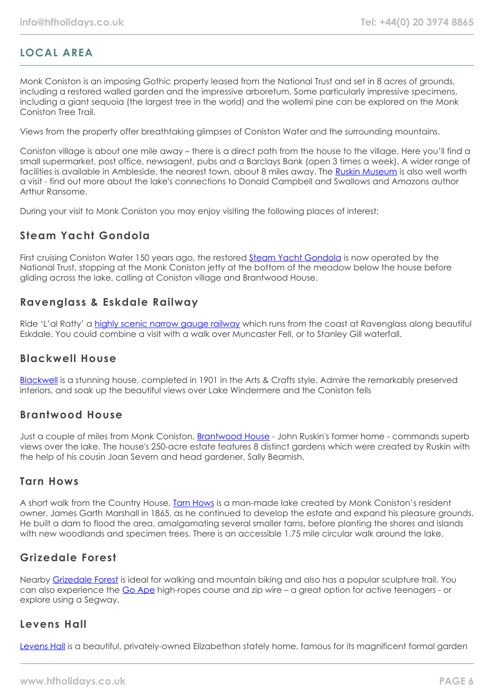# **LOCAL AREA**

Monk Coniston is an imposing Gothic property leased from the National Trust and set in 8 acres of grounds, including a restored walled garden and the impressive arboretum. Some particularly impressive specimens, including a giant sequoia (the largest tree in the world) and the wollemi pine can be explored on the Monk Coniston Tree Trail.

Views from the property offer breathtaking glimpses of Coniston Water and the surrounding mountains.

Coniston village is about one mile away – there is a direct path from the house to the village. Here you'll find a small supermarket, post office, newsagent, pubs and a Barclays Bank (open 3 times a week). A wider range of facilities is available in Ambleside, the nearest town, about 8 miles away. The [Ruskin Museum](https://ruskinmuseum.com/) is also well worth a visit - find out more about the lake's connections to Donald Campbell and Swallows and Amazons author Arthur Ransome.

During your visit to Monk Coniston you may enjoy visiting the following places of interest:

# **Steam Yacht Gondola**

First cruising Coniston Water 150 years ago, the restored **[Steam Yacht Gondola](https://www.nationaltrust.org.uk/steam-yacht-gondola)** is now operated by the National Trust, stopping at the Monk Coniston jetty at the bottom of the meadow below the house before gliding across the lake, calling at Coniston village and Brantwood House.

## **Ravenglass & Eskdale Railway**

Ride 'L'al Ratty' a [highly scenic narrow gauge railway](https://ravenglass-railway.co.uk/) which runs from the coast at Ravenglass along beautiful Eskdale. You could combine a visit with a walk over Muncaster Fell, or to Stanley Gill waterfall.

## **Blackwell House**

[Blackwell](https://lakelandarts.org.uk/blackwell/) is a stunning house, completed in 1901 in the Arts & Crafts style. Admire the remarkably preserved interiors, and soak up the beautiful views over Lake Windermere and the Coniston fells

## **Brantwood House**

Just a couple of miles from Monk Coniston, **[Brantwood House](http://www.brantwood.org.uk/)** - John Ruskin's former home - commands superb views over the lake. The house's 250-acre estate features 8 distinct gardens which were created by Ruskin with the help of his cousin Joan Severn and head gardener, Sally Beamish.

## **Tarn Hows**

A short walk from the Country House, **[Tarn Hows](https://www.nationaltrust.org.uk/tarn-hows-and-coniston)** is a man-made lake created by Monk Coniston's resident owner, James Garth Marshall in 1865, as he continued to develop the estate and expand his pleasure grounds. He built a dam to flood the area, amalgamating several smaller tarns, before planting the shores and islands with new woodlands and specimen trees. There is an accessible 1.75 mile circular walk around the lake.

# **Grizedale Forest**

Nearby [Grizedale Forest](https://www.forestryengland.uk/grizedale) is ideal for walking and mountain biking and also has a popular sculpture trail. You can also experience the [Go Ape](https://goape.co.uk/locations/grizedale) high-ropes course and zip wire – a great option for active teenagers - or explore using a Segway.

## **Levens Hall**

[Levens Hall](https://www.levenshall.co.uk/) is a beautiful, privately-owned Elizabethan stately home, famous for its magnificent formal garden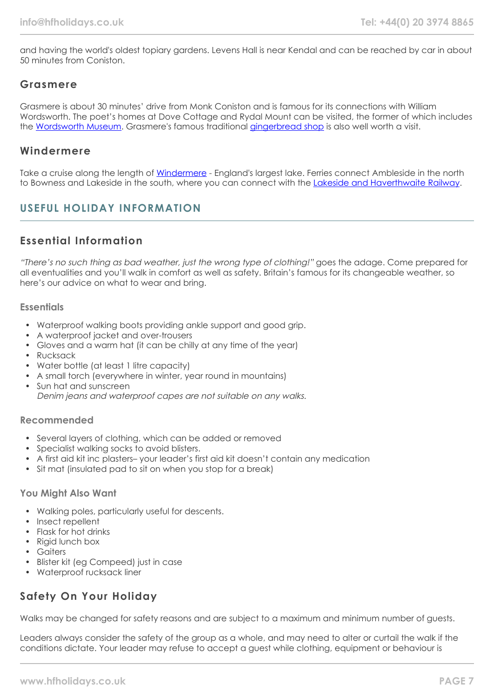and having the world's oldest topiary gardens. Levens Hall is near Kendal and can be reached by car in about 50 minutes from Coniston.

## **Grasmere**

Grasmere is about 30 minutes' drive from Monk Coniston and is famous for its connections with William Wordsworth. The poet's homes at Dove Cottage and Rydal Mount can be visited, the former of which includes the [Wordsworth Museum](https://wordsworth.org.uk/). Grasmere's famous traditional [gingerbread shop](https://www.grasmeregingerbread.co.uk/) is also well worth a visit.

#### **Windermere**

Take a cruise along the length of [Windermere](https://www.windermere-lakecruises.co.uk/) - England's largest lake. Ferries connect Ambleside in the north to Bowness and Lakeside in the south, where you can connect with the [Lakeside and Haverthwaite Railway](https://www.lakesiderailway.co.uk/).

# **USEFUL HOLIDAY INFORMATION**

# **Essential Information**

"There's no such thing as bad weather, just the wrong type of clothing!" goes the adage. Come prepared for all eventualities and you'll walk in comfort as well as safety. Britain's famous for its changeable weather, so here's our advice on what to wear and bring.

#### **Essentials**

- Waterproof walking boots providing ankle support and good grip.
- A waterproof jacket and over-trousers
- Gloves and a warm hat (it can be chilly at any time of the year)
- Rucksack
- Water bottle (at least 1 litre capacity)
- A small torch (everywhere in winter, year round in mountains)
- Sun hat and sunscreen

Denim jeans and waterproof capes are not suitable on any walks.

#### **Recommended**

- Several layers of clothing, which can be added or removed
- Specialist walking socks to avoid blisters.
- A first aid kit inc plasters– your leader's first aid kit doesn't contain any medication
- Sit mat (insulated pad to sit on when you stop for a break)

#### **You Might Also Want**

- Walking poles, particularly useful for descents.
- Insect repellent
- Flask for hot drinks
- Rigid lunch box
- Gaiters
- Blister kit (eg Compeed) just in case
- Waterproof rucksack liner

# **Safety On Your Holiday**

Walks may be changed for safety reasons and are subject to a maximum and minimum number of guests.

Leaders always consider the safety of the group as a whole, and may need to alter or curtail the walk if the conditions dictate. Your leader may refuse to accept a guest while clothing, equipment or behaviour is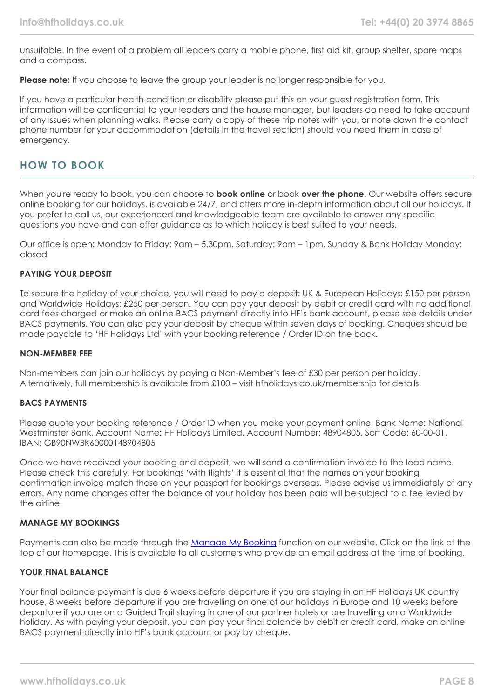unsuitable. In the event of a problem all leaders carry a mobile phone, first aid kit, group shelter, spare maps and a compass.

**Please note:** If you choose to leave the group your leader is no longer responsible for you.

If you have a particular health condition or disability please put this on your guest registration form. This information will be confidential to your leaders and the house manager, but leaders do need to take account of any issues when planning walks. Please carry a copy of these trip notes with you, or note down the contact phone number for your accommodation (details in the travel section) should you need them in case of emergency.

## **HOW TO BOOK**

When you're ready to book, you can choose to **book online** or book **over the phone**. Our website offers secure online booking for our holidays, is available 24/7, and offers more in-depth information about all our holidays. If you prefer to call us, our experienced and knowledgeable team are available to answer any specific questions you have and can offer guidance as to which holiday is best suited to your needs.

Our office is open: Monday to Friday: 9am – 5.30pm, Saturday: 9am – 1pm, Sunday & Bank Holiday Monday: closed

#### **PAYING YOUR DEPOSIT**

To secure the holiday of your choice, you will need to pay a deposit: UK & European Holidays: £150 per person and Worldwide Holidays: £250 per person. You can pay your deposit by debit or credit card with no additional card fees charged or make an online BACS payment directly into HF's bank account, please see details under BACS payments. You can also pay your deposit by cheque within seven days of booking. Cheques should be made payable to 'HF Holidays Ltd' with your booking reference / Order ID on the back.

#### **NON-MEMBER FEE**

Non-members can join our holidays by paying a Non-Member's fee of £30 per person per holiday. Alternatively, full membership is available from £100 – visit hfholidays.co.uk/membership for details.

#### **BACS PAYMENTS**

Please quote your booking reference / Order ID when you make your payment online: Bank Name: National Westminster Bank, Account Name: HF Holidays Limited, Account Number: 48904805, Sort Code: 60-00-01, IBAN: GB90NWBK60000148904805

Once we have received your booking and deposit, we will send a confirmation invoice to the lead name. Please check this carefully. For bookings 'with flights' it is essential that the names on your booking confirmation invoice match those on your passport for bookings overseas. Please advise us immediately of any errors. Any name changes after the balance of your holiday has been paid will be subject to a fee levied by the airline.

#### **MANAGE MY BOOKINGS**

Payments can also be made through the [Manage My Booking](https://www.hfholidays.co.uk/about-us/bookings/my-booking) function on our website. Click on the link at the top of our homepage. This is available to all customers who provide an email address at the time of booking.

#### **YOUR FINAL BALANCE**

Your final balance payment is due 6 weeks before departure if you are staying in an HF Holidays UK country house, 8 weeks before departure if you are travelling on one of our holidays in Europe and 10 weeks before departure if you are on a Guided Trail staying in one of our partner hotels or are travelling on a Worldwide holiday. As with paying your deposit, you can pay your final balance by debit or credit card, make an online BACS payment directly into HF's bank account or pay by cheque.